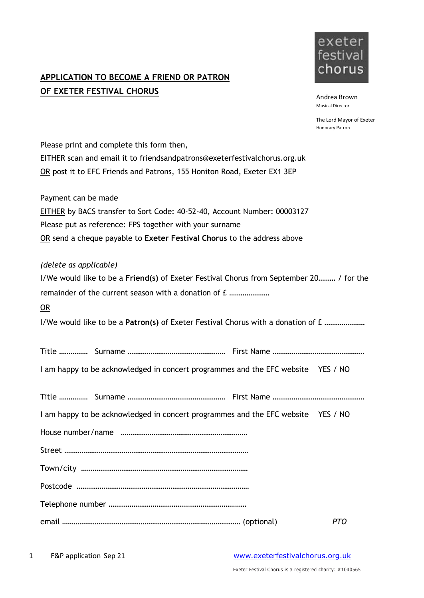## **APPLICATION TO BECOME A FRIEND OR PATRON OF EXETER FESTIVAL CHORUS**



Andrea Brown Musical Director

The Lord Mayor of Exeter Honorary Patron

| Please print and complete this form then,                                               |  |            |
|-----------------------------------------------------------------------------------------|--|------------|
| EITHER scan and email it to friendsandpatrons@exeterfestivalchorus.org.uk               |  |            |
| OR post it to EFC Friends and Patrons, 155 Honiton Road, Exeter EX1 3EP                 |  |            |
| Payment can be made                                                                     |  |            |
| EITHER by BACS transfer to Sort Code: 40-52-40, Account Number: 00003127                |  |            |
| Please put as reference: FPS together with your surname                                 |  |            |
| OR send a cheque payable to Exeter Festival Chorus to the address above                 |  |            |
| (delete as applicable)                                                                  |  |            |
| I/We would like to be a Friend(s) of Exeter Festival Chorus from September 20 / for the |  |            |
|                                                                                         |  |            |
| OR                                                                                      |  |            |
| I/We would like to be a Patron(s) of Exeter Festival Chorus with a donation of £        |  |            |
|                                                                                         |  |            |
| I am happy to be acknowledged in concert programmes and the EFC website YES / NO        |  |            |
|                                                                                         |  |            |
| I am happy to be acknowledged in concert programmes and the EFC website YES / NO        |  |            |
|                                                                                         |  |            |
|                                                                                         |  |            |
|                                                                                         |  |            |
|                                                                                         |  |            |
|                                                                                         |  |            |
|                                                                                         |  | <b>PTO</b> |